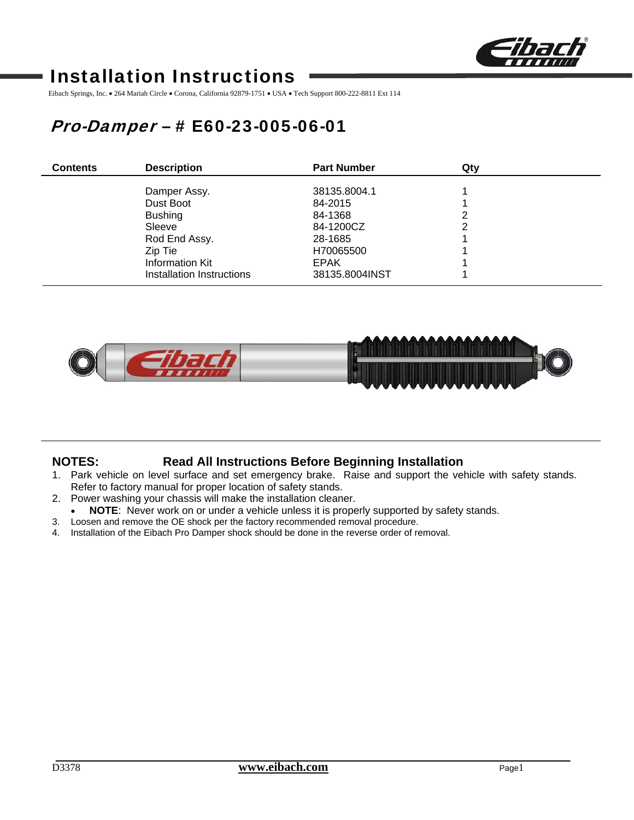

# Installation Instructions

Eibach Springs, Inc. • 264 Mariah Circle • Corona, California 92879-1751 • USA • Tech Support 800-222-8811 Ext 114

# Pro-Damper – # E60-23-005-06-01

| <b>Contents</b> | <b>Description</b>        | <b>Part Number</b> | Qty |
|-----------------|---------------------------|--------------------|-----|
|                 | Damper Assy.              | 38135,8004.1       |     |
|                 | Dust Boot                 | 84-2015            |     |
|                 | <b>Bushing</b>            | 84-1368            | 2   |
|                 | Sleeve                    | 84-1200CZ          | ົ   |
|                 | Rod End Assy.             | 28-1685            |     |
|                 | Zip Tie                   | H70065500          |     |
|                 | Information Kit           | <b>EPAK</b>        |     |
|                 | Installation Instructions | 38135.8004INST     |     |



## **NOTES: Read All Instructions Before Beginning Installation**

- 1. Park vehicle on level surface and set emergency brake. Raise and support the vehicle with safety stands. Refer to factory manual for proper location of safety stands.
- 2. Power washing your chassis will make the installation cleaner.
- **NOTE**: Never work on or under a vehicle unless it is properly supported by safety stands.
- 3. Loosen and remove the OE shock per the factory recommended removal procedure.
- 4. Installation of the Eibach Pro Damper shock should be done in the reverse order of removal.